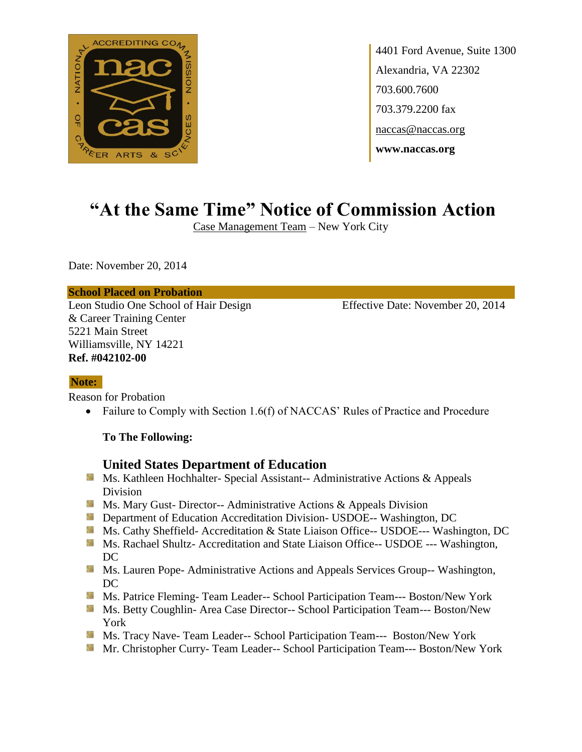

4401 Ford Avenue, Suite 1300 Alexandria, VA 22302 703.600.7600 703.379.2200 fax naccas@naccas.org **www.naccas.org**

# **"At the Same Time" Notice of Commission Action**

Case Management Team – New York City

Date: November 20, 2014

#### **School Placed on Probation**

Leon Studio One School of Hair Design Effective Date: November 20, 2014 & Career Training Center 5221 Main Street Williamsville, NY 14221 **Ref. #042102-00**

### **Note:**

Reason for Probation

• Failure to Comply with Section 1.6(f) of NACCAS' Rules of Practice and Procedure

#### **To The Following:**

### **United States Department of Education**

- Ms. Kathleen Hochhalter- Special Assistant-- Administrative Actions & Appeals Division
- **Ms.** Ms. Mary Gust- Director-- Administrative Actions  $\&$  Appeals Division
- **Department of Education Accreditation Division- USDOE-- Washington, DC**
- Ms. Cathy Sheffield- Accreditation & State Liaison Office-- USDOE--- Washington, DC
- **Ms. Rachael Shultz- Accreditation and State Liaison Office-- USDOE --- Washington,** DC
- **Ms. Lauren Pope- Administrative Actions and Appeals Services Group-- Washington,** DC
- **MS. Patrice Fleming- Team Leader-- School Participation Team--- Boston/New York**
- Ms. Betty Coughlin- Area Case Director-- School Participation Team--- Boston/New York
- Ms. Tracy Nave- Team Leader-- School Participation Team--- Boston/New York
- Mr. Christopher Curry- Team Leader-- School Participation Team--- Boston/New York